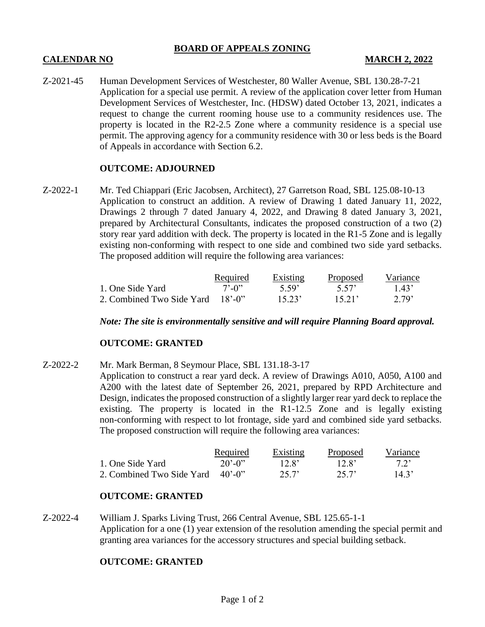## **BOARD OF APPEALS ZONING**

# **CALENDAR NO MARCH 2, 2022**

Z-2021-45 Human Development Services of Westchester, 80 Waller Avenue, SBL 130.28-7-21 Application for a special use permit. A review of the application cover letter from Human Development Services of Westchester, Inc. (HDSW) dated October 13, 2021, indicates a request to change the current rooming house use to a community residences use. The property is located in the R2-2.5 Zone where a community residence is a special use permit. The approving agency for a community residence with 30 or less beds is the Board of Appeals in accordance with Section 6.2.

## **OUTCOME: ADJOURNED**

Z-2022-1 Mr. Ted Chiappari (Eric Jacobsen, Architect), 27 Garretson Road, SBL 125.08-10-13 Application to construct an addition. A review of Drawing 1 dated January 11, 2022, Drawings 2 through 7 dated January 4, 2022, and Drawing 8 dated January 3, 2021, prepared by Architectural Consultants, indicates the proposed construction of a two (2) story rear yard addition with deck. The property is located in the R1-5 Zone and is legally existing non-conforming with respect to one side and combined two side yard setbacks. The proposed addition will require the following area variances:

|                                  | <b>Required</b>             | Existing          | Proposed | Variance          |
|----------------------------------|-----------------------------|-------------------|----------|-------------------|
| 1. One Side Yard                 | $7^{\circ}$ -0 <sup>3</sup> | 5.59 <sup>°</sup> | 5.57     | 1.43'             |
| 2. Combined Two Side Yard 18'-0" |                             | 15.23'            | 1521'    | 2.79 <sup>'</sup> |

*Note: The site is environmentally sensitive and will require Planning Board approval.*

## **OUTCOME: GRANTED**

Z-2022-2 Mr. Mark Berman, 8 Seymour Place, SBL 131.18-3-17

Application to construct a rear yard deck. A review of Drawings A010, A050, A100 and A200 with the latest date of September 26, 2021, prepared by RPD Architecture and Design, indicates the proposed construction of a slightly larger rear yard deck to replace the existing. The property is located in the R1-12.5 Zone and is legally existing non-conforming with respect to lot frontage, side yard and combined side yard setbacks. The proposed construction will require the following area variances:

|                                  | <u>Required</u>       | <b>Existing</b> | <b>Proposed</b>   | Variance |
|----------------------------------|-----------------------|-----------------|-------------------|----------|
| 1. One Side Yard                 | $20'$ -0 <sup>2</sup> | $12.8^{\circ}$  | 12.8 <sup>2</sup> | 72'      |
| 2. Combined Two Side Yard 40'-0" |                       | 25.7'           | 257'              | 14.3'    |

## **OUTCOME: GRANTED**

Z-2022-4 William J. Sparks Living Trust, 266 Central Avenue, SBL 125.65-1-1 Application for a one (1) year extension of the resolution amending the special permit and granting area variances for the accessory structures and special building setback.

# **OUTCOME: GRANTED**